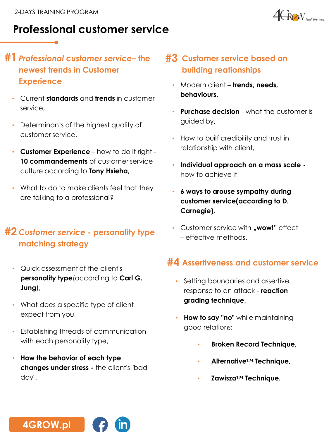

# **Professional customer service**

### **#1** *Professional customer service***– the newest trends in Customer Experience**

- Current **standards** and **trends** in customer service,
- Determinants of the highest quality of customer service,
- **Customer Experience** how to do it right **10 commandements** of customer service culture according to **Tony Hsieha,**
- What to do to make clients feel that they are talking to a professional?

#### **#2** *Customer service* **- personality type matching strategy**

- Quick assessment of the client's **personality type**(according to **Carl G. Jung**),
- What does a specific type of client expect from you,
- Establishing threads of communication with each personality type,
- **How the behavior of each type changes under stress -** the client's "bad day",

### **#3 Customer service based on building reationships**

- Modern client **– trends, needs, behaviours,**
- **Purchase decision**  what the customer is guided by**,**
- How to builf credibility and trust in relationship with client,
- **Individual approach on a mass scale**  how to achieve it,
- **6 ways to arouse sympathy during customer service(according to D. Carnegie),**
- Customer service with **"wow!**" effect – effective methods.

## **Assertiveness and customer service #4**

- Setting boundaries and assertive response to an attack - **reaction grading technique,**
- **How to say "no"** while maintaining good relations:
	- **Broken Record Technique,**
	- **Alternative™ Technique,**
	- **Zawisza™ Technique.**

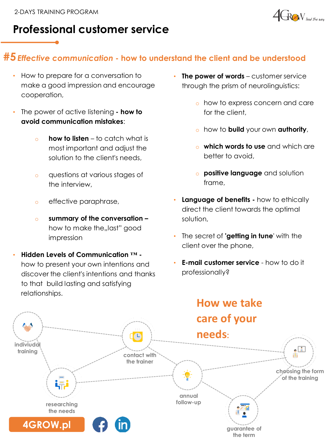

# **Professional customer service**

### **#5***Effective communication* **- how to understand the client and be understood**

- How to prepare for a conversation to make a good impression and encourage cooperation,
- The power of active listening **- how to avoid communication mistakes**:
	- o **how to listen** to catch what is most important and adjust the solution to the client's needs,
	- o questions at various stages of the interview,
	- o effective paraphrase,
	- o **summary of the conversation –** how to make the, last" good impression
- **Hidden Levels of Communication ™**  how to present your own intentions and discover the client's intentions and thanks to that build lasting and satisfying relationships.
- **The power of words** customer service through the prism of neurolinguistics:
	- o how to express concern and care for the client,
	- o how to **build** your own **authority**,
	- o **which words to use** and which are better to avoid,
	- o **positive language** and solution frame,
- **Language of benefits -** how to ethically direct the client towards the optimal solution,
- The secret of **'getting in tune**' with the client over the phone,
- **E-mail customer service**  how to do it professionally?